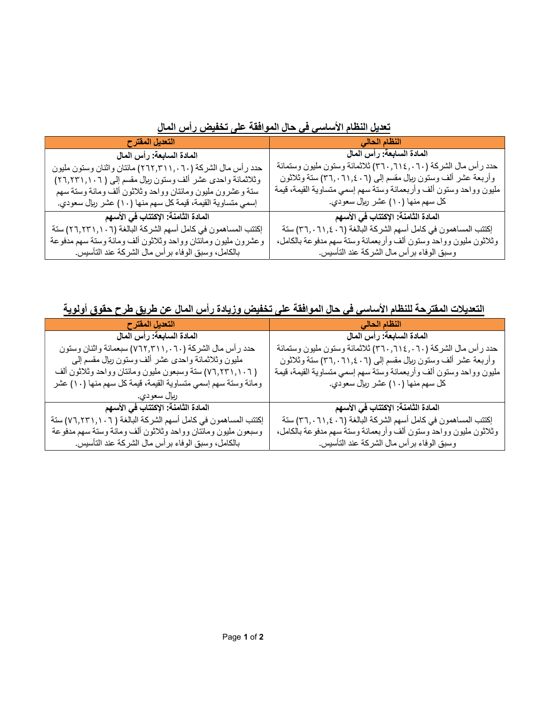| __<br><u>ی ی</u> ب ب ب ب                                     |                                                                     |
|--------------------------------------------------------------|---------------------------------------------------------------------|
| التعديل المقترح                                              | النظام الحالى                                                       |
| المادة السابعة: رأس المال                                    | المادة السابعة: رأس المال                                           |
| حدد رأس مال الشركة (٦٠ . ,٢٦٢,٣١١) مائتان واثنان وستون مليون | حدد رأس مال الشركة (٦٠, ٦١٤, ٣٦٠, ٣٦٠) ثلاثمائة وستون مليون وستمائة |
| وثلاثمائة واحدى عشر ألف وستون ربال مقسم إلىي ( ٢٦,٢٣١,١٠٦)   | وأربعة عشر ألف وسنون ربإل مقسم إلىي (٢٠١,٠٦١,٤٠٦) ستة وثلاثون       |
| سنة وعشرون مليون ومائتان وواحد وثلاثون ألف ومائة وسنة سهم    | مليون وواحد وسنون ألف وأربعمائة وسنة سهم إسمي متساوية القيمة، قيمة  |
| إسمي متساوية القيمة، قيمة كل سهم منها (١٠) عشر ربال سعودي.   | كل سهم منها (١٠) عشر ربال سعودي.                                    |
| المادة الثامنة: الإكتتاب في الأسهم                           | المادة الثامنة: الإكتتاب في الأسهم                                  |
| إكتتب المساهمون في كامل أسهم الشركة البالغة (٢٦,٢٣١,١٠٦) ستة | إكتتب المساهمون في كامل أسهم الشركة البالغة (٢٠,٠٦١,٤٠٦) ستة        |
| وعشرون مليون ومائتان وواحد وثلاثون ألف ومائة وستة سهم مدفوعة | وثلاثون مليون وواحد وستون ألف وأربعمائة وسنة سهم مدفوعة بالكامل،    |
| بـالكامل، وسبق الوفاء برأس مـال الشركـة عند التأسيس.         | وسبق الوفاء برأس مال الشركة عند التأسيس.                            |

تعديل النظام الأساسي في حال الموافقة على تخفيض رأس المال

التعديلات المقترحة للنظام الأساسي في حال الموافقة على تخفيض وزيادة رأس المال عن طريق طرح حقوق أولوية

| التعديل المقترح                                               | النظام الحالى                                                      |
|---------------------------------------------------------------|--------------------------------------------------------------------|
| المادة السابعة: رأس المال                                     | المادة السابعة: رأس المال                                          |
| حدد رأس مال الشركة (٦٠,٢١١,٠٦٠) سبعمائة واثنان وستون          | حدد رأس مال الشركة (٦٠,٦١٤,٠٦٠) ثلاثمائة وستون مليون وستمائة       |
| مليون وثلاثمائة واحدى عشر ألف وستون ربإل مقسم إلىي            | وأربعة عشر ألف وستون ريال مقسم إلى (٢١,٤٠٦). لتنة وثلاثون          |
| ( ٧٦,٢٣١,١٠٦) ستة وسبعون مليون ومائتان وواحد وثلاثون ألف      | مليون وواحد وستون ألف وأربعمائة وستة سهم إسمي متساوية القيمة، قيمة |
| ومائة وستة سهم إسمي متساوية القيمة، قيمة كل سهم منها (١٠) عشر | كل سهم منها (١٠) عشر ربال سعودي.                                   |
| ربال سعودي.                                                   |                                                                    |
| المادة الثامنة: الإكتتاب في الأسهم                            | المادة الثامنة: الإكتتاب في الأسهم                                 |
| إكتتب المساهمون في كامل أسهم الشركة البالغة ( ٧٦,٢٣١,١٠٦) ستة | إكتتب المساهمون في كامل أسهم الشركة البالغة (٢٦,٠٦١,٤٠٦) ستة       |
| وسبعون مليون ومائتان وواحد وثلاثون ألف ومائة وستة سهم مدفوعة  | وثلاثون مليون وواحد وستون ألف وأربعمائة وستة سهم مدفوعة بالكامل،   |
| بـالكامل، وسبق الوفاء برأس مـال الشركـة عند التأسيس.          | وسبق الوفاء برأس مال الشركة عند التأسيس.                           |